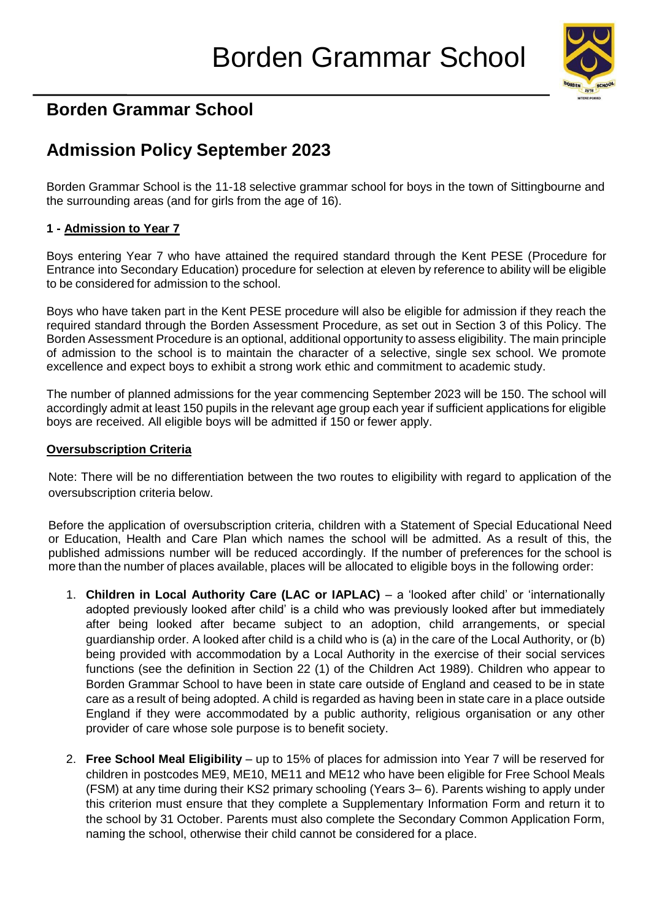

## **Borden Grammar School**

## **Admission Policy September 2023**

Borden Grammar School is the 11-18 selective grammar school for boys in the town of Sittingbourne and the surrounding areas (and for girls from the age of 16).

#### **1 - Admission to Year 7**

Boys entering Year 7 who have attained the required standard through the Kent PESE (Procedure for Entrance into Secondary Education) procedure for selection at eleven by reference to ability will be eligible to be considered for admission to the school.

Boys who have taken part in the Kent PESE procedure will also be eligible for admission if they reach the required standard through the Borden Assessment Procedure, as set out in Section 3 of this Policy. The Borden Assessment Procedure is an optional, additional opportunity to assess eligibility. The main principle of admission to the school is to maintain the character of a selective, single sex school. We promote excellence and expect boys to exhibit a strong work ethic and commitment to academic study.

The number of planned admissions for the year commencing September 2023 will be 150. The school will accordingly admit at least 150 pupils in the relevant age group each year if sufficient applications for eligible boys are received. All eligible boys will be admitted if 150 or fewer apply.

#### **Oversubscription Criteria**

Note: There will be no differentiation between the two routes to eligibility with regard to application of the oversubscription criteria below.

Before the application of oversubscription criteria, children with a Statement of Special Educational Need or Education, Health and Care Plan which names the school will be admitted. As a result of this, the published admissions number will be reduced accordingly. If the number of preferences for the school is more than the number of places available, places will be allocated to eligible boys in the following order:

- 1. **Children in Local Authority Care (LAC or IAPLAC)**  a 'looked after child' or 'internationally adopted previously looked after child' is a child who was previously looked after but immediately after being looked after became subject to an adoption, child arrangements, or special guardianship order. A looked after child is a child who is (a) in the care of the Local Authority, or (b) being provided with accommodation by a Local Authority in the exercise of their social services functions (see the definition in Section 22 (1) of the Children Act 1989). Children who appear to Borden Grammar School to have been in state care outside of England and ceased to be in state care as a result of being adopted. A child is regarded as having been in state care in a place outside England if they were accommodated by a public authority, religious organisation or any other provider of care whose sole purpose is to benefit society.
- 2. **Free School Meal Eligibility**  up to 15% of places for admission into Year 7 will be reserved for children in postcodes ME9, ME10, ME11 and ME12 who have been eligible for Free School Meals (FSM) at any time during their KS2 primary schooling (Years 3– 6). Parents wishing to apply under this criterion must ensure that they complete a Supplementary Information Form and return it to the school by 31 October. Parents must also complete the Secondary Common Application Form, naming the school, otherwise their child cannot be considered for a place.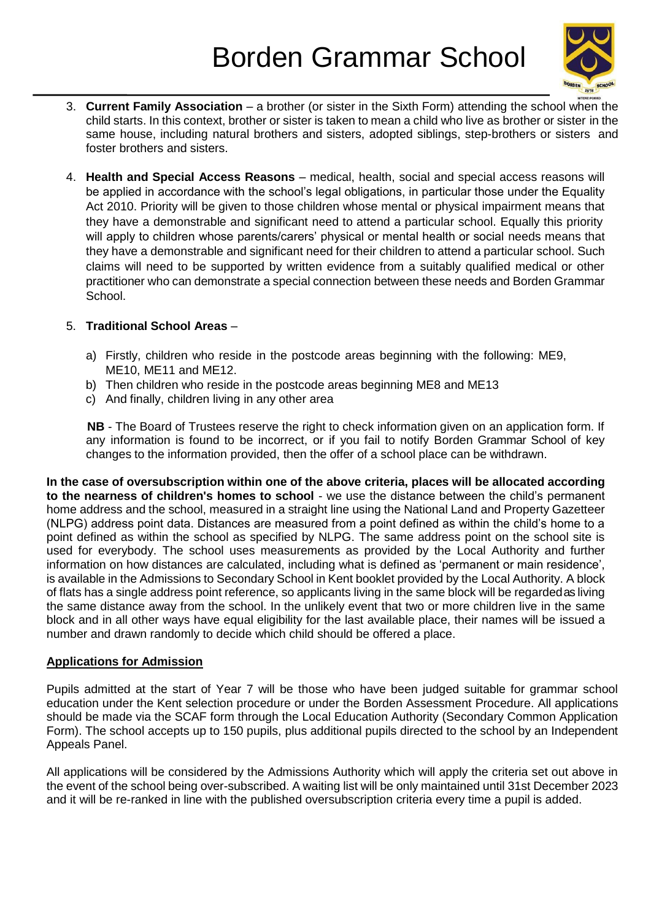

- 3. **Current Family Association**  a brother (or sister in the Sixth Form) attending the school when the child starts. In this context, brother or sister is taken to mean a child who live as brother or sister in the same house, including natural brothers and sisters, adopted siblings, step-brothers or sisters and foster brothers and sisters.
- 4. **Health and Special Access Reasons**  medical, health, social and special access reasons will be applied in accordance with the school's legal obligations, in particular those under the Equality Act 2010. Priority will be given to those children whose mental or physical impairment means that they have a demonstrable and significant need to attend a particular school. Equally this priority will apply to children whose parents/carers' physical or mental health or social needs means that they have a demonstrable and significant need for their children to attend a particular school. Such claims will need to be supported by written evidence from a suitably qualified medical or other practitioner who can demonstrate a special connection between these needs and Borden Grammar School.

#### 5. **Traditional School Areas** –

- a) Firstly, children who reside in the postcode areas beginning with the following: ME9, ME10, ME11 and ME12.
- b) Then children who reside in the postcode areas beginning ME8 and ME13
- c) And finally, children living in any other area

**NB** - The Board of Trustees reserve the right to check information given on an application form. If any information is found to be incorrect, or if you fail to notify Borden Grammar School of key changes to the information provided, then the offer of a school place can be withdrawn.

**In the case of oversubscription within one of the above criteria, places will be allocated according to the nearness of children's homes to school** - we use the distance between the child's permanent home address and the school, measured in a straight line using the National Land and Property Gazetteer (NLPG) address point data. Distances are measured from a point defined as within the child's home to a point defined as within the school as specified by NLPG. The same address point on the school site is used for everybody. The school uses measurements as provided by the Local Authority and further information on how distances are calculated, including what is defined as 'permanent or main residence', is available in the Admissions to Secondary School in Kent booklet provided by the Local Authority. A block of flats has a single address point reference, so applicants living in the same block will be regarded as living the same distance away from the school. In the unlikely event that two or more children live in the same block and in all other ways have equal eligibility for the last available place, their names will be issued a number and drawn randomly to decide which child should be offered a place.

#### **Applications for Admission**

Pupils admitted at the start of Year 7 will be those who have been judged suitable for grammar school education under the Kent selection procedure or under the Borden Assessment Procedure. All applications should be made via the SCAF form through the Local Education Authority (Secondary Common Application Form). The school accepts up to 150 pupils, plus additional pupils directed to the school by an Independent Appeals Panel.

All applications will be considered by the Admissions Authority which will apply the criteria set out above in the event of the school being over-subscribed. A waiting list will be only maintained until 31st December 2023 and it will be re-ranked in line with the published oversubscription criteria every time a pupil is added.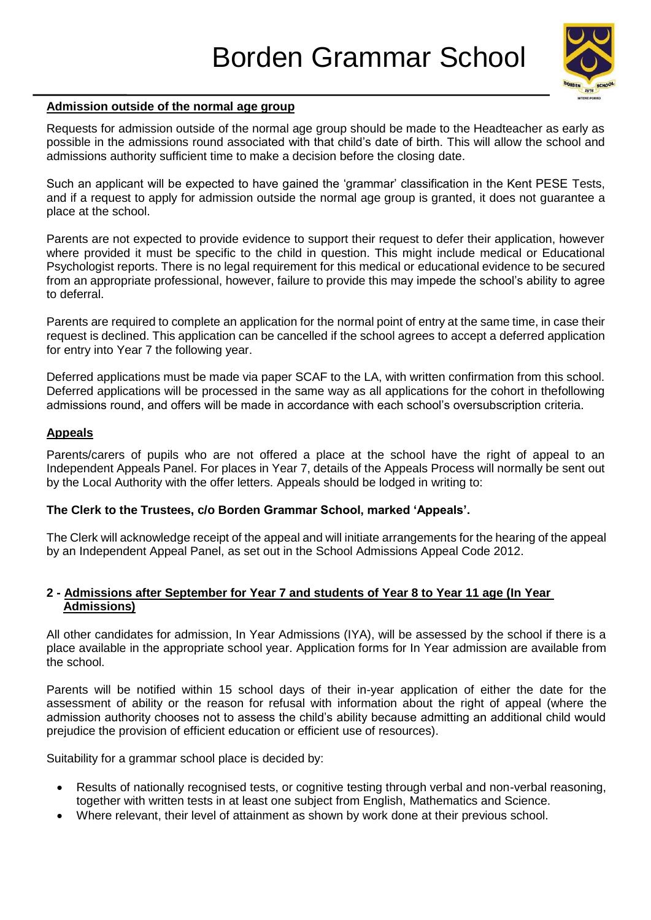

#### **Admission outside of the normal age group**

Requests for admission outside of the normal age group should be made to the Headteacher as early as possible in the admissions round associated with that child's date of birth. This will allow the school and admissions authority sufficient time to make a decision before the closing date.

Such an applicant will be expected to have gained the 'grammar' classification in the Kent PESE Tests, and if a request to apply for admission outside the normal age group is granted, it does not guarantee a place at the school.

Parents are not expected to provide evidence to support their request to defer their application, however where provided it must be specific to the child in question. This might include medical or Educational Psychologist reports. There is no legal requirement for this medical or educational evidence to be secured from an appropriate professional, however, failure to provide this may impede the school's ability to agree to deferral.

Parents are required to complete an application for the normal point of entry at the same time, in case their request is declined. This application can be cancelled if the school agrees to accept a deferred application for entry into Year 7 the following year.

Deferred applications must be made via paper SCAF to the LA, with written confirmation from this school. Deferred applications will be processed in the same way as all applications for the cohort in thefollowing admissions round, and offers will be made in accordance with each school's oversubscription criteria.

#### **Appeals**

Parents/carers of pupils who are not offered a place at the school have the right of appeal to an Independent Appeals Panel. For places in Year 7, details of the Appeals Process will normally be sent out by the Local Authority with the offer letters. Appeals should be lodged in writing to:

#### **The Clerk to the Trustees, c/o Borden Grammar School, marked 'Appeals'.**

The Clerk will acknowledge receipt of the appeal and will initiate arrangements for the hearing of the appeal by an Independent Appeal Panel, as set out in the School Admissions Appeal Code 2012.

#### **2 - Admissions after September for Year 7 and students of Year 8 to Year 11 age (In Year Admissions)**

All other candidates for admission, In Year Admissions (IYA), will be assessed by the school if there is a place available in the appropriate school year. Application forms for In Year admission are available from the school.

Parents will be notified within 15 school days of their in-year application of either the date for the assessment of ability or the reason for refusal with information about the right of appeal (where the admission authority chooses not to assess the child's ability because admitting an additional child would prejudice the provision of efficient education or efficient use of resources).

Suitability for a grammar school place is decided by:

- Results of nationally recognised tests, or cognitive testing through verbal and non-verbal reasoning, together with written tests in at least one subject from English, Mathematics and Science.
- Where relevant, their level of attainment as shown by work done at their previous school.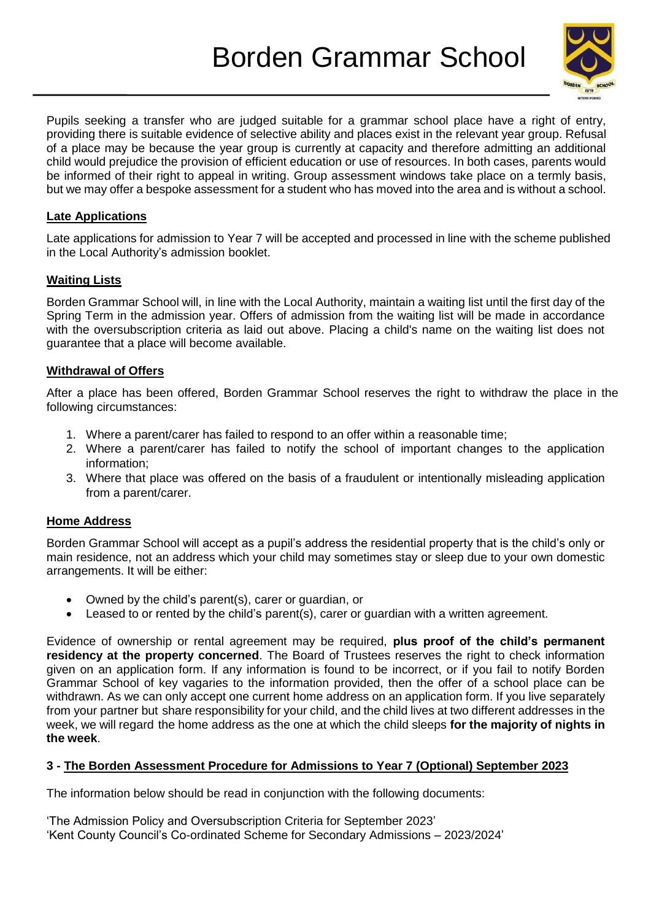# Borden Grammar School



Pupils seeking a transfer who are judged suitable for a grammar school place have a right of entry, providing there is suitable evidence of selective ability and places exist in the relevant year group. Refusal of a place may be because the year group is currently at capacity and therefore admitting an additional child would prejudice the provision of efficient education or use of resources. In both cases, parents would be informed of their right to appeal in writing. Group assessment windows take place on a termly basis, but we may offer a bespoke assessment for a student who has moved into the area and is without a school.

#### **Late Applications**

Late applications for admission to Year 7 will be accepted and processed in line with the scheme published in the Local Authority's admission booklet.

#### **Waiting Lists**

Borden Grammar School will, in line with the Local Authority, maintain a waiting list until the first day of the Spring Term in the admission year. Offers of admission from the waiting list will be made in accordance with the oversubscription criteria as laid out above. Placing a child's name on the waiting list does not guarantee that a place will become available.

#### **Withdrawal of Offers**

After a place has been offered, Borden Grammar School reserves the right to withdraw the place in the following circumstances:

- 1. Where a parent/carer has failed to respond to an offer within a reasonable time;
- 2. Where a parent/carer has failed to notify the school of important changes to the application information;
- 3. Where that place was offered on the basis of a fraudulent or intentionally misleading application from a parent/carer.

#### **Home Address**

Borden Grammar School will accept as a pupil's address the residential property that is the child's only or main residence, not an address which your child may sometimes stay or sleep due to your own domestic arrangements. It will be either:

- Owned by the child's parent(s), carer or guardian, or
- Leased to or rented by the child's parent(s), carer or guardian with a written agreement.

Evidence of ownership or rental agreement may be required, **plus proof of the child's permanent residency at the property concerned**. The Board of Trustees reserves the right to check information given on an application form. If any information is found to be incorrect, or if you fail to notify Borden Grammar School of key vagaries to the information provided, then the offer of a school place can be withdrawn. As we can only accept one current home address on an application form. If you live separately from your partner but share responsibility for your child, and the child lives at two different addresses in the week, we will regard the home address as the one at which the child sleeps **for the majority of nights in the week**.

#### **3 - The Borden Assessment Procedure for Admissions to Year 7 (Optional) September 2023**

The information below should be read in conjunction with the following documents:

'The Admission Policy and Oversubscription Criteria for September 2023' 'Kent County Council's Co-ordinated Scheme for Secondary Admissions – 2023/2024'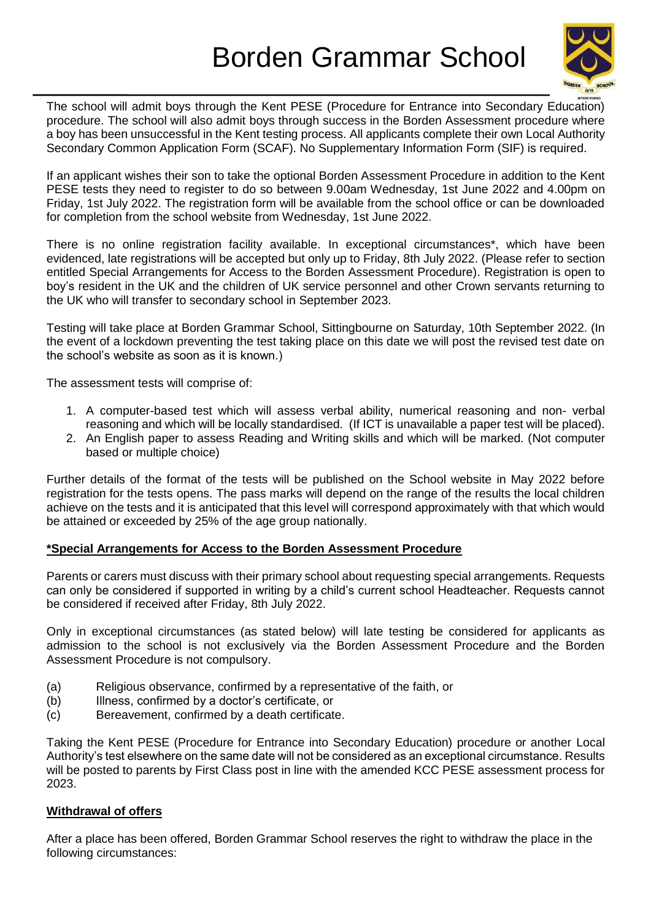

The school will admit boys through the Kent PESE (Procedure for Entrance into Secondary Education) procedure. The school will also admit boys through success in the Borden Assessment procedure where a boy has been unsuccessful in the Kent testing process. All applicants complete their own Local Authority Secondary Common Application Form (SCAF). No Supplementary Information Form (SIF) is required.

If an applicant wishes their son to take the optional Borden Assessment Procedure in addition to the Kent PESE tests they need to register to do so between 9.00am Wednesday, 1st June 2022 and 4.00pm on Friday, 1st July 2022. The registration form will be available from the school office or can be downloaded for completion from the school website from Wednesday, 1st June 2022.

There is no online registration facility available. In exceptional circumstances\*, which have been evidenced, late registrations will be accepted but only up to Friday, 8th July 2022. (Please refer to section entitled Special Arrangements for Access to the Borden Assessment Procedure). Registration is open to boy's resident in the UK and the children of UK service personnel and other Crown servants returning to the UK who will transfer to secondary school in September 2023.

Testing will take place at Borden Grammar School, Sittingbourne on Saturday, 10th September 2022. (In the event of a lockdown preventing the test taking place on this date we will post the revised test date on the school's website as soon as it is known.)

The assessment tests will comprise of:

- 1. A computer-based test which will assess verbal ability, numerical reasoning and non- verbal reasoning and which will be locally standardised. (If ICT is unavailable a paper test will be placed).
- 2. An English paper to assess Reading and Writing skills and which will be marked. (Not computer based or multiple choice)

Further details of the format of the tests will be published on the School website in May 2022 before registration for the tests opens. The pass marks will depend on the range of the results the local children achieve on the tests and it is anticipated that this level will correspond approximately with that which would be attained or exceeded by 25% of the age group nationally.

#### **\*Special Arrangements for Access to the Borden Assessment Procedure**

Parents or carers must discuss with their primary school about requesting special arrangements. Requests can only be considered if supported in writing by a child's current school Headteacher. Requests cannot be considered if received after Friday, 8th July 2022.

Only in exceptional circumstances (as stated below) will late testing be considered for applicants as admission to the school is not exclusively via the Borden Assessment Procedure and the Borden Assessment Procedure is not compulsory.

- (a) Religious observance, confirmed by a representative of the faith, or
- (b) Illness, confirmed by a doctor's certificate, or
- (c) Bereavement, confirmed by a death certificate.

Taking the Kent PESE (Procedure for Entrance into Secondary Education) procedure or another Local Authority's test elsewhere on the same date will not be considered as an exceptional circumstance. Results will be posted to parents by First Class post in line with the amended KCC PESE assessment process for 2023.

#### **Withdrawal of offers**

After a place has been offered, Borden Grammar School reserves the right to withdraw the place in the following circumstances: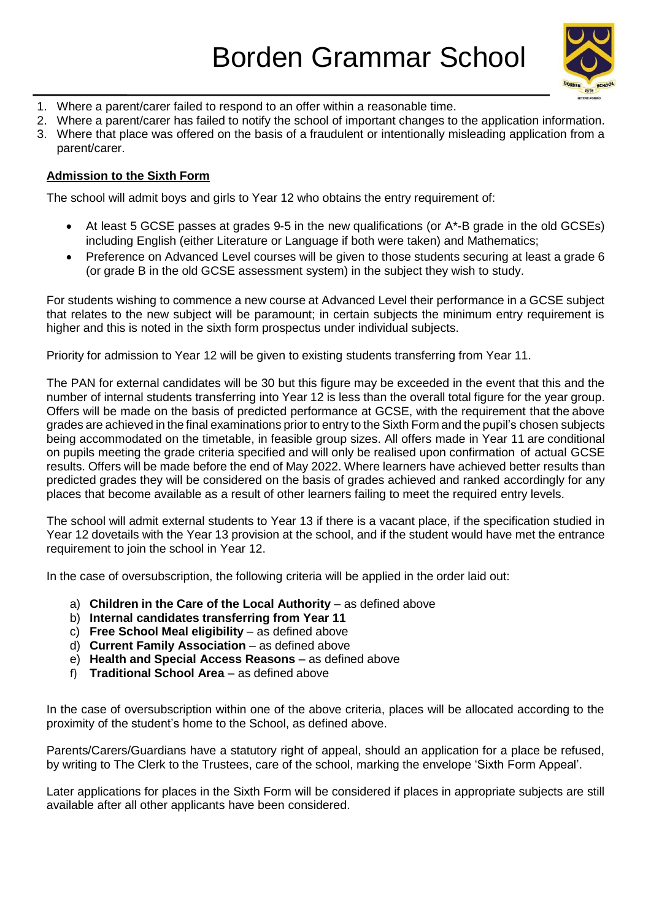

- 1. Where a parent/carer failed to respond to an offer within a reasonable time.
- 2. Where a parent/carer has failed to notify the school of important changes to the application information.
- 3. Where that place was offered on the basis of a fraudulent or intentionally misleading application from a parent/carer.

#### **Admission to the Sixth Form**

The school will admit boys and girls to Year 12 who obtains the entry requirement of:

- At least 5 GCSE passes at grades 9-5 in the new qualifications (or A\*-B grade in the old GCSEs) including English (either Literature or Language if both were taken) and Mathematics;
- Preference on Advanced Level courses will be given to those students securing at least a grade 6 (or grade B in the old GCSE assessment system) in the subject they wish to study.

For students wishing to commence a new course at Advanced Level their performance in a GCSE subject that relates to the new subject will be paramount; in certain subjects the minimum entry requirement is higher and this is noted in the sixth form prospectus under individual subjects.

Priority for admission to Year 12 will be given to existing students transferring from Year 11.

The PAN for external candidates will be 30 but this figure may be exceeded in the event that this and the number of internal students transferring into Year 12 is less than the overall total figure for the year group. Offers will be made on the basis of predicted performance at GCSE, with the requirement that the above grades are achieved in the final examinations prior to entry to the Sixth Form and the pupil's chosen subjects being accommodated on the timetable, in feasible group sizes. All offers made in Year 11 are conditional on pupils meeting the grade criteria specified and will only be realised upon confirmation of actual GCSE results. Offers will be made before the end of May 2022. Where learners have achieved better results than predicted grades they will be considered on the basis of grades achieved and ranked accordingly for any places that become available as a result of other learners failing to meet the required entry levels.

The school will admit external students to Year 13 if there is a vacant place, if the specification studied in Year 12 dovetails with the Year 13 provision at the school, and if the student would have met the entrance requirement to join the school in Year 12.

In the case of oversubscription, the following criteria will be applied in the order laid out:

- a) **Children in the Care of the Local Authority** as defined above
- b) **Internal candidates transferring from Year 11**
- c) **Free School Meal eligibility** as defined above
- d) **Current Family Association** as defined above
- e) **Health and Special Access Reasons** as defined above
- f) **Traditional School Area** as defined above

In the case of oversubscription within one of the above criteria, places will be allocated according to the proximity of the student's home to the School, as defined above.

Parents/Carers/Guardians have a statutory right of appeal, should an application for a place be refused, by writing to The Clerk to the Trustees, care of the school, marking the envelope 'Sixth Form Appeal'.

Later applications for places in the Sixth Form will be considered if places in appropriate subjects are still available after all other applicants have been considered.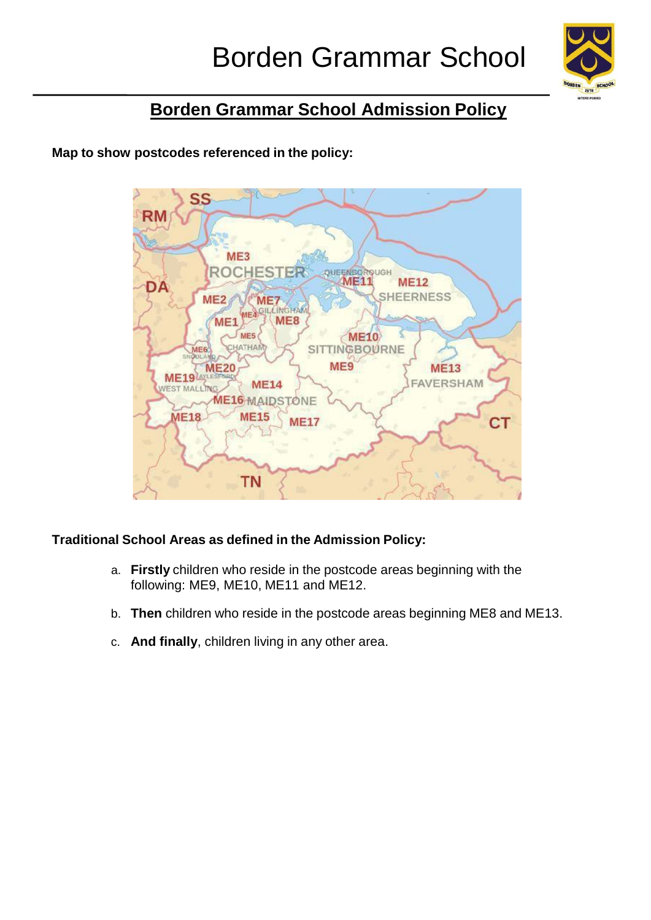

## **Borden Grammar School Admission Policy**

**Map to show postcodes referenced in the policy:**



## **Traditional School Areas as defined in the Admission Policy:**

- a. **Firstly** children who reside in the postcode areas beginning with the following: ME9, ME10, ME11 and ME12.
- b. **Then** children who reside in the postcode areas beginning ME8 and ME13.
- c. **And finally**, children living in any other area.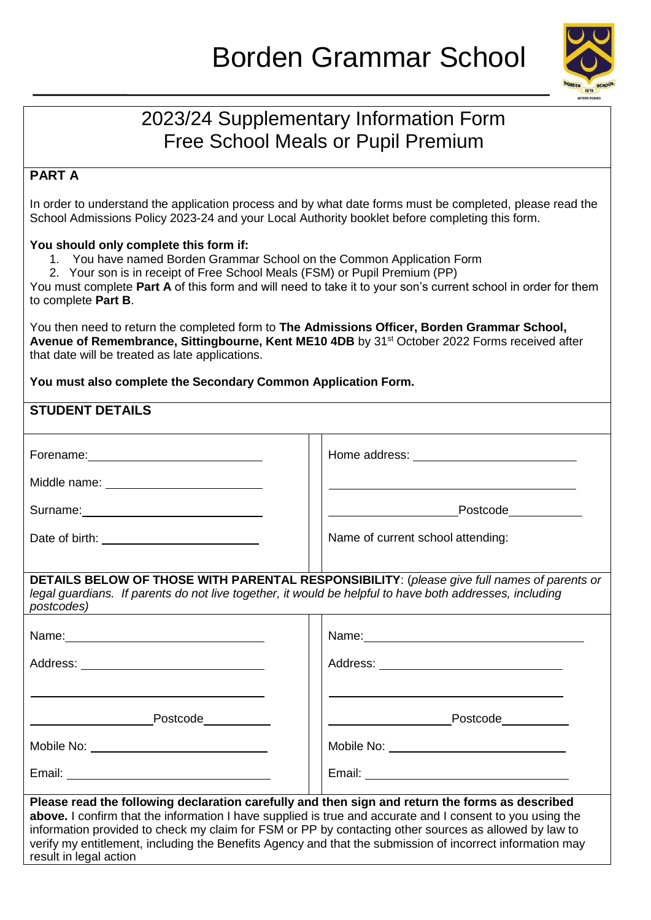

## 2023/24 Supplementary Information Form Free School Meals or Pupil Premium

## **PART A**

In order to understand the application process and by what date forms must be completed, please read the School Admissions Policy 2023-24 and your Local Authority booklet before completing this form.

#### **You should only complete this form if:**

- 1. You have named Borden Grammar School on the Common Application Form
- 2. Your son is in receipt of Free School Meals (FSM) or Pupil Premium (PP)

You must complete **Part A** of this form and will need to take it to your son's current school in order for them to complete **Part B**.

You then need to return the completed form to **The Admissions Officer, Borden Grammar School, Avenue of Remembrance, Sittingbourne, Kent ME10 4DB** by 31st October 2022 Forms received after that date will be treated as late applications.

#### **You must also complete the Secondary Common Application Form.**

| <b>STUDENT DETAILS</b>                                                                                                                                                                                                                                                                                                                                                                                                                                       |                                                                                                                                                                                                                               |
|--------------------------------------------------------------------------------------------------------------------------------------------------------------------------------------------------------------------------------------------------------------------------------------------------------------------------------------------------------------------------------------------------------------------------------------------------------------|-------------------------------------------------------------------------------------------------------------------------------------------------------------------------------------------------------------------------------|
| Forename: Management Contract Contract Contract Contract Contract Contract Contract Contract Contract Contract Contract Contract Contract Contract Contract Contract Contract Contract Contract Contract Contract Contract Con                                                                                                                                                                                                                               |                                                                                                                                                                                                                               |
|                                                                                                                                                                                                                                                                                                                                                                                                                                                              | and the control of the control of the control of the control of the control of the control of the control of the                                                                                                              |
|                                                                                                                                                                                                                                                                                                                                                                                                                                                              |                                                                                                                                                                                                                               |
|                                                                                                                                                                                                                                                                                                                                                                                                                                                              | Name of current school attending:                                                                                                                                                                                             |
| legal guardians. If parents do not live together, it would be helpful to have both addresses, including<br>postcodes)                                                                                                                                                                                                                                                                                                                                        | DETAILS BELOW OF THOSE WITH PARENTAL RESPONSIBILITY: (please give full names of parents or                                                                                                                                    |
| Name: Name:                                                                                                                                                                                                                                                                                                                                                                                                                                                  | Name: Name:                                                                                                                                                                                                                   |
|                                                                                                                                                                                                                                                                                                                                                                                                                                                              | Address: _____ ____________________________                                                                                                                                                                                   |
| the control of the control of the control of the control of the control of the control of the control of the control of the control of the control of the control of the control of the control of the control of the control                                                                                                                                                                                                                                | the control of the control of the control of the control of the control of the control of the control of the control of the control of the control of the control of the control of the control of the control of the control |
| <b>Example 2018</b> Postcode 2019 19:30                                                                                                                                                                                                                                                                                                                                                                                                                      |                                                                                                                                                                                                                               |
|                                                                                                                                                                                                                                                                                                                                                                                                                                                              |                                                                                                                                                                                                                               |
|                                                                                                                                                                                                                                                                                                                                                                                                                                                              |                                                                                                                                                                                                                               |
| Please read the following declaration carefully and then sign and return the forms as described<br>above. I confirm that the information I have supplied is true and accurate and I consent to you using the<br>information provided to check my claim for FSM or PP by contacting other sources as allowed by law to<br>verify my entitlement, including the Benefits Agency and that the submission of incorrect information may<br>result in legal action |                                                                                                                                                                                                                               |